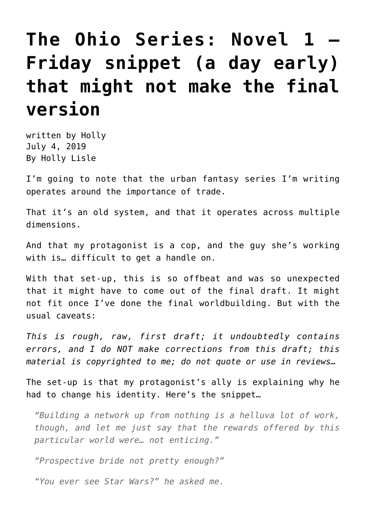## **[The Ohio Series: Novel 1 –](https://hollylisle.com/the-ohio-series-novel-1-friday-snippet-a-day-early-that-might-not-make-the-final-version/) [Friday snippet \(a day early\)](https://hollylisle.com/the-ohio-series-novel-1-friday-snippet-a-day-early-that-might-not-make-the-final-version/) [that might not make the final](https://hollylisle.com/the-ohio-series-novel-1-friday-snippet-a-day-early-that-might-not-make-the-final-version/) [version](https://hollylisle.com/the-ohio-series-novel-1-friday-snippet-a-day-early-that-might-not-make-the-final-version/)**

written by Holly July 4, 2019 [By Holly Lisle](https://hollylisle.com)

I'm going to note that the urban fantasy series I'm writing operates around the importance of trade.

That it's an old system, and that it operates across multiple dimensions.

And that my protagonist is a cop, and the guy she's working with is… difficult to get a handle on.

With that set-up, this is so offbeat and was so unexpected that it might have to come out of the final draft. It might not fit once I've done the final worldbuilding. But with the usual caveats:

*This is rough, raw, first draft; it undoubtedly contains errors, and I do NOT make corrections from this draft; this material is copyrighted to me; do not quote or use in reviews…*

The set-up is that my protagonist's ally is explaining why he had to change his identity. Here's the snippet…

*"Building a network up from nothing is a helluva lot of work, though, and let me just say that the rewards offered by this particular world were… not enticing."*

*"Prospective bride not pretty enough?"*

*"You ever see Star Wars?" he asked me.*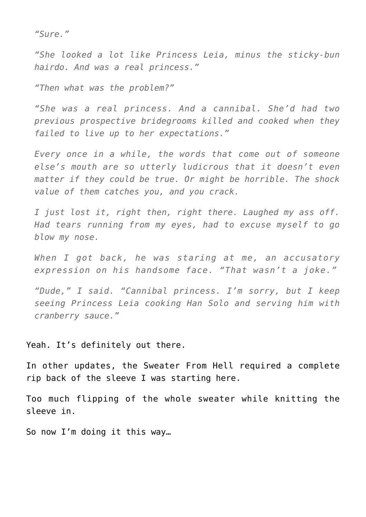*"Sure."*

*"She looked a lot like Princess Leia, minus the sticky-bun hairdo. And was a real princess."*

*"Then what was the problem?"*

*"She was a real princess. And a cannibal. She'd had two previous prospective bridegrooms killed and cooked when they failed to live up to her expectations."*

*Every once in a while, the words that come out of someone else's mouth are so utterly ludicrous that it doesn't even matter if they could be true. Or might be horrible. The shock value of them catches you, and you crack.*

*I just lost it, right then, right there. Laughed my ass off. Had tears running from my eyes, had to excuse myself to go blow my nose.*

*When I got back, he was staring at me, an accusatory expression on his handsome face. "That wasn't a joke."*

*"Dude," I said. "Cannibal princess. I'm sorry, but I keep seeing Princess Leia cooking Han Solo and serving him with cranberry sauce."*

Yeah. It's definitely out there.

In other updates, the Sweater From Hell required a complete rip back of [the sleeve I was starting here.](https://hollylisle.com/the-ohio-series-a-chaos-writing-day-and-seeking-calm-through-abusive-knitting/)

Too much flipping of the whole sweater while knitting the sleeve in.

So now I'm doing it this way…